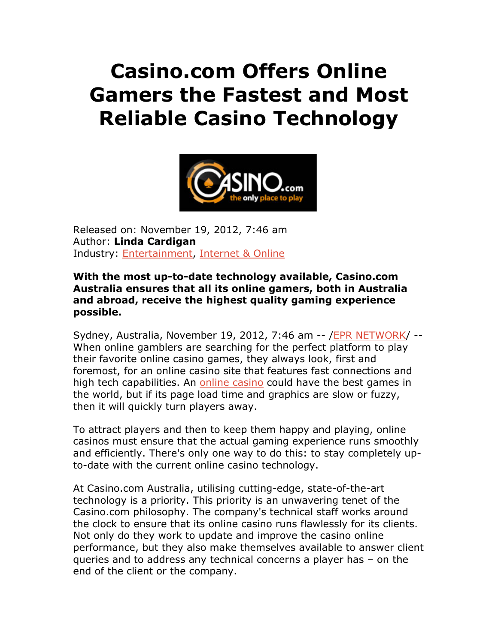## **Casino.com Offers Online Gamers the Fastest and Most Reliable Casino Technology**



Released on: November 19, 2012, 7:46 am Author: **Linda Cardigan**  Industry: Entertainment, Internet & Online

## **With the most up-to-date technology available, Casino.com Australia ensures that all its online gamers, both in Australia and abroad, receive the highest quality gaming experience possible.**

Sydney, Australia, November 19, 2012, 7:46 am -- /EPR NETWORK/ -- When online gamblers are searching for the perfect platform to play their favorite online casino games, they always look, first and foremost, for an online casino site that features fast connections and high tech capabilities. An online casino could have the best games in the world, but if its page load time and graphics are slow or fuzzy, then it will quickly turn players away.

To attract players and then to keep them happy and playing, online casinos must ensure that the actual gaming experience runs smoothly and efficiently. There's only one way to do this: to stay completely upto-date with the current online casino technology.

At Casino.com Australia, utilising cutting-edge, state-of-the-art technology is a priority. This priority is an unwavering tenet of the Casino.com philosophy. The company's technical staff works around the clock to ensure that its online casino runs flawlessly for its clients. Not only do they work to update and improve the casino online performance, but they also make themselves available to answer client queries and to address any technical concerns a player has – on the end of the client or the company.